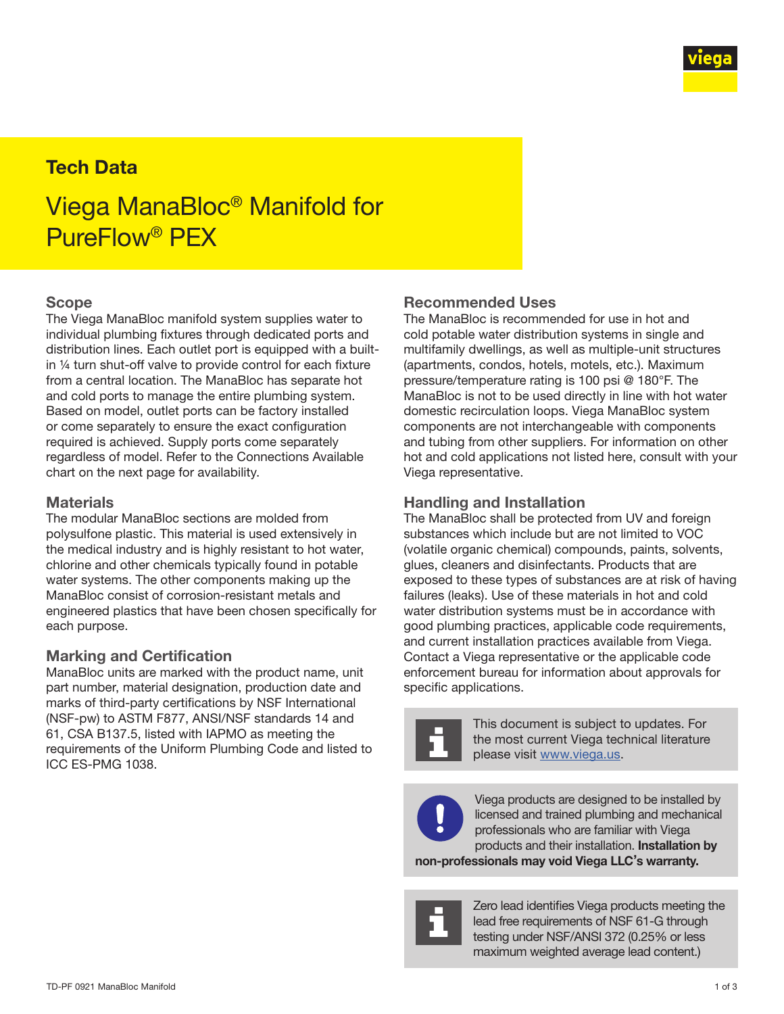

## Tech Data

# Viega ManaBloc® Manifold for PureFlow® PEX

#### Scope

The Viega ManaBloc manifold system supplies water to individual plumbing fixtures through dedicated ports and distribution lines. Each outlet port is equipped with a builtin ¼ turn shut-off valve to provide control for each fixture from a central location. The ManaBloc has separate hot and cold ports to manage the entire plumbing system. Based on model, outlet ports can be factory installed or come separately to ensure the exact configuration required is achieved. Supply ports come separately regardless of model. Refer to the Connections Available chart on the next page for availability.

#### **Materials**

The modular ManaBloc sections are molded from polysulfone plastic. This material is used extensively in the medical industry and is highly resistant to hot water, chlorine and other chemicals typically found in potable water systems. The other components making up the ManaBloc consist of corrosion-resistant metals and engineered plastics that have been chosen specifically for each purpose.

#### Marking and Certification

ManaBloc units are marked with the product name, unit part number, material designation, production date and marks of third-party certifications by NSF International (NSF-pw) to ASTM F877, ANSI/NSF standards 14 and 61, CSA B137.5, listed with IAPMO as meeting the requirements of the Uniform Plumbing Code and listed to ICC ES-PMG 1038.

#### Recommended Uses

The ManaBloc is recommended for use in hot and cold potable water distribution systems in single and multifamily dwellings, as well as multiple-unit structures (apartments, condos, hotels, motels, etc.). Maximum pressure/temperature rating is 100 psi @ 180°F. The ManaBloc is not to be used directly in line with hot water domestic recirculation loops. Viega ManaBloc system components are not interchangeable with components and tubing from other suppliers. For information on other hot and cold applications not listed here, consult with your Viega representative.

#### Handling and Installation

The ManaBloc shall be protected from UV and foreign substances which include but are not limited to VOC (volatile organic chemical) compounds, paints, solvents, glues, cleaners and disinfectants. Products that are exposed to these types of substances are at risk of having failures (leaks). Use of these materials in hot and cold water distribution systems must be in accordance with good plumbing practices, applicable code requirements, and current installation practices available from Viega. Contact a Viega representative or the applicable code enforcement bureau for information about approvals for specific applications.



This document is subject to updates. For the most current Viega technical literature please visit [www.viega.us.](http://www.viega.us)



Viega products are designed to be installed by licensed and trained plumbing and mechanical professionals who are familiar with Viega products and their installation. Installation by

non-professionals may void Viega LLC's warranty.



Zero lead identifies Viega products meeting the lead free requirements of NSF 61-G through testing under NSF/ANSI 372 (0.25% or less maximum weighted average lead content.)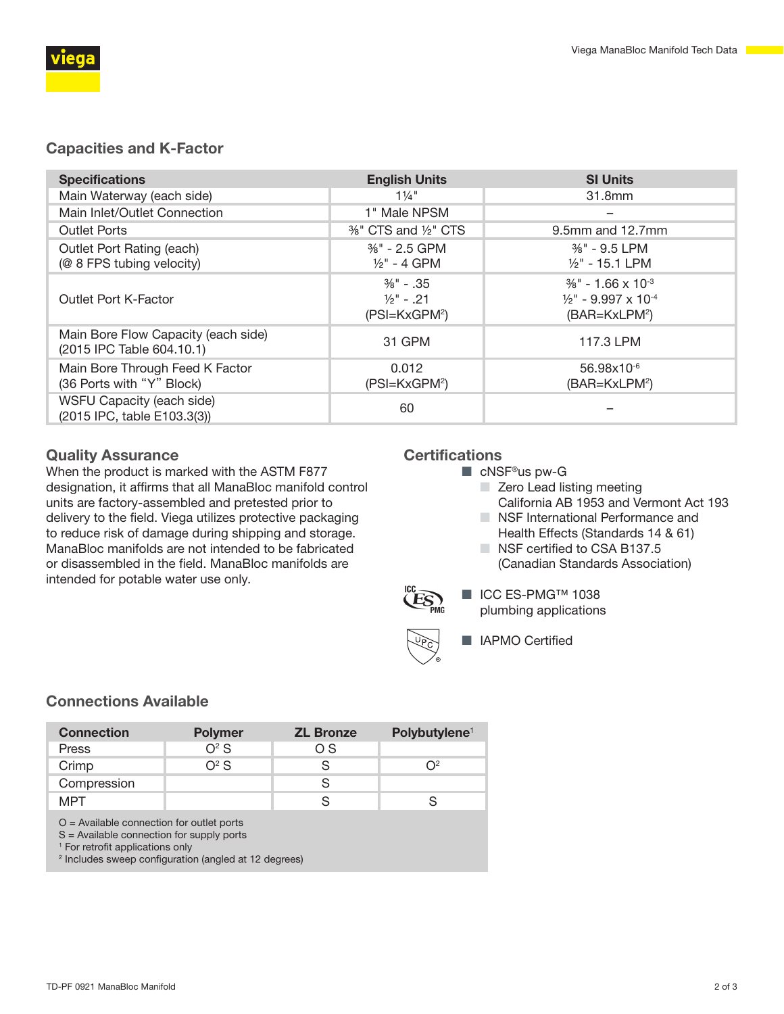

#### Capacities and K-Factor

| <b>Specifications</b>                                            | <b>English Units</b>                                            | <b>SI Units</b>                                                                                                      |
|------------------------------------------------------------------|-----------------------------------------------------------------|----------------------------------------------------------------------------------------------------------------------|
| Main Waterway (each side)                                        | $1\frac{1}{4}$ "                                                | 31.8mm                                                                                                               |
| Main Inlet/Outlet Connection                                     | 1" Male NPSM                                                    |                                                                                                                      |
| <b>Outlet Ports</b>                                              | $%$ CTS and $\frac{1}{2}$ CTS                                   | 9.5mm and 12.7mm                                                                                                     |
| Outlet Port Rating (each)<br>(@ 8 FPS tubing velocity)           | $\frac{3}{8}$ " - 2.5 GPM<br>$\frac{1}{2}$ " - 4 GPM            | $\frac{3}{8}$ " - 9.5 LPM<br>$1/2$ " - 15.1 LPM                                                                      |
| Outlet Port K-Factor                                             | $\frac{3}{8}$ " - 35<br>$\frac{1}{2}$ " - .21<br>$(PSI=KxGPM2)$ | $\frac{3}{8}$ " - 1.66 x 10 <sup>-3</sup><br>$\frac{1}{2}$ " - 9.997 x 10 <sup>-4</sup><br>(BAR=KxLPM <sup>2</sup> ) |
| Main Bore Flow Capacity (each side)<br>(2015 IPC Table 604.10.1) | 31 GPM                                                          | 117.3 LPM                                                                                                            |
| Main Bore Through Feed K Factor<br>(36 Ports with "Y" Block)     | 0.012<br>(PSI=KxGPM <sup>2</sup> )                              | 56.98x10-6<br>(BAR=KxLPM <sup>2</sup> )                                                                              |
| WSFU Capacity (each side)<br>(2015 IPC, table E103.3(3))         | 60                                                              |                                                                                                                      |

#### Quality Assurance

When the product is marked with the ASTM F877 designation, it affirms that all ManaBloc manifold control units are factory-assembled and pretested prior to delivery to the field. Viega utilizes protective packaging to reduce risk of damage during shipping and storage. ManaBloc manifolds are not intended to be fabricated or disassembled in the field. ManaBloc manifolds are intended for potable water use only.

#### **Certifications**

- cNSF<sup>®</sup>us pw-G
	- Zero Lead listing meeting
	- California AB 1953 and Vermont Act 193
	- NSF International Performance and
	- Health Effects (Standards 14 & 61)
	- NSF certified to CSA B137.5 (Canadian Standards Association)



■ ICC ES-PMG™ 1038 plumbing applications



■ IAPMO Certified

### Connections Available

| <b>Connection</b>                           | <b>Polymer</b> | <b>ZL Bronze</b> | Polybutylene <sup>1</sup> |  |
|---------------------------------------------|----------------|------------------|---------------------------|--|
| <b>Press</b>                                | $O2$ S         | ΟS               |                           |  |
| Crimp                                       | $\Omega^2$ S   |                  | ∩2                        |  |
| Compression                                 |                |                  |                           |  |
| <b>MPT</b>                                  |                |                  |                           |  |
| $O =$ Available connection for outlet ports |                |                  |                           |  |

S = Available connection for supply ports

<sup>1</sup> For retrofit applications only

2 Includes sweep configuration (angled at 12 degrees)

TD-PF 0921 ManaBloc Manifold